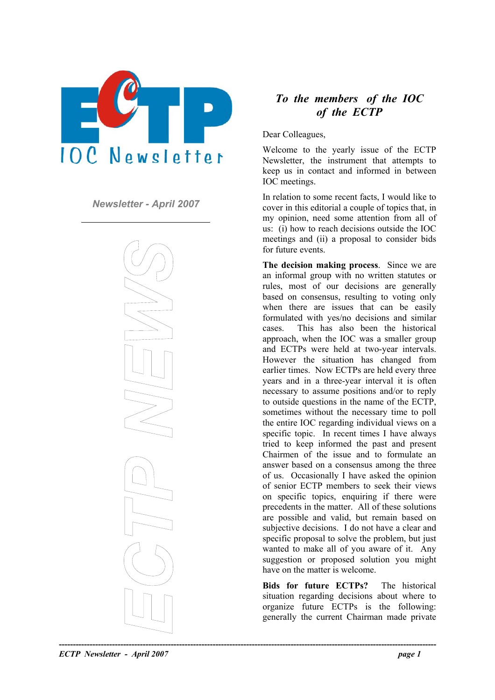

*Newsletter - April 2007* 



# *To the members of the IOC of the ECTP*

Dear Colleagues,

Welcome to the yearly issue of the ECTP Newsletter, the instrument that attempts to keep us in contact and informed in between IOC meetings.

In relation to some recent facts, I would like to cover in this editorial a couple of topics that, in my opinion, need some attention from all of us: (i) how to reach decisions outside the IOC meetings and (ii) a proposal to consider bids for future events.

**The decision making process**. Since we are an informal group with no written statutes or rules, most of our decisions are generally based on consensus, resulting to voting only when there are issues that can be easily formulated with yes/no decisions and similar cases. This has also been the historical approach, when the IOC was a smaller group and ECTPs were held at two-year intervals. However the situation has changed from earlier times. Now ECTPs are held every three years and in a three-year interval it is often necessary to assume positions and/or to reply to outside questions in the name of the ECTP, sometimes without the necessary time to poll the entire IOC regarding individual views on a specific topic. In recent times I have always tried to keep informed the past and present Chairmen of the issue and to formulate an answer based on a consensus among the three of us. Occasionally I have asked the opinion of senior ECTP members to seek their views on specific topics, enquiring if there were precedents in the matter. All of these solutions are possible and valid, but remain based on subjective decisions. I do not have a clear and specific proposal to solve the problem, but just wanted to make all of you aware of it. Any suggestion or proposed solution you might have on the matter is welcome.

**Bids for future ECTPs?** The historical situation regarding decisions about where to organize future ECTPs is the following: generally the current Chairman made private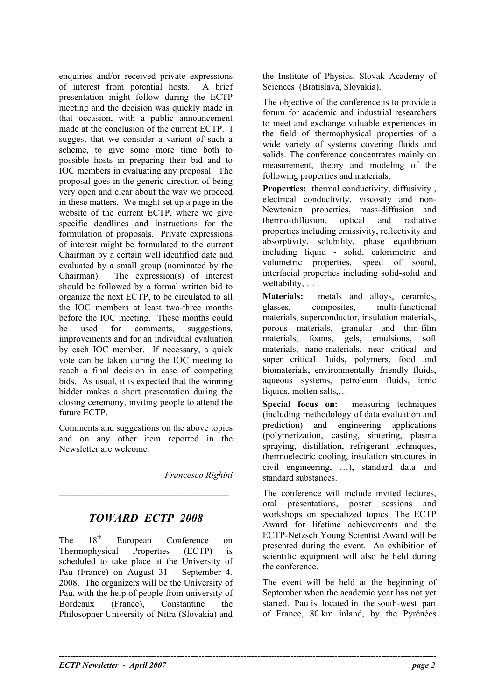enquiries and/or received private expressions of interest from potential hosts. A brief presentation might follow during the ECTP meeting and the decision was quickly made in that occasion, with a public announcement made at the conclusion of the current ECTP. I suggest that we consider a variant of such a scheme, to give some more time both to possible hosts in preparing their bid and to IOC members in evaluating any proposal. The proposal goes in the generic direction of being very open and clear about the way we proceed in these matters. We might set up a page in the website of the current ECTP, where we give specific deadlines and instructions for the formulation of proposals. Private expressions of interest might be formulated to the current Chairman by a certain well identified date and evaluated by a small group (nominated by the Chairman). The expression(s) of interest should be followed by a formal written bid to organize the next ECTP, to be circulated to all the IOC members at least two-three months before the IOC meeting. These months could be used for comments, suggestions, improvements and for an individual evaluation by each IOC member. If necessary, a quick vote can be taken during the IOC meeting to reach a final decision in case of competing bids. As usual, it is expected that the winning bidder makes a short presentation during the closing ceremony, inviting people to attend the future ECTP.

Comments and suggestions on the above topics and on any other item reported in the Newsletter are welcome.

*Francesco Righini* 

**----------------------------------------------------------------------------------------------------------------------------------------** 

# *TOWARD ECTP 2008*

 $\mathcal{L}_\text{max}$ 

The 18<sup>th</sup> European Conference on Thermophysical Properties (ECTP) is scheduled to take place at the University of Pau (France) on August 31 – September 4, 2008. The organizers will be the University of Pau, with the help of people from university of Bordeaux (France), Constantine the Philosopher University of Nitra (Slovakia) and

the Institute of Physics, Slovak Academy of Sciences (Bratislava, Slovakia).

The objective of the conference is to provide a forum for academic and industrial researchers to meet and exchange valuable experiences in the field of thermophysical properties of a wide variety of systems covering fluids and solids. The conference concentrates mainly on measurement, theory and modeling of the following properties and materials.

**Properties:** thermal conductivity, diffusivity , electrical conductivity, viscosity and non-Newtonian properties, mass-diffusion and thermo-diffusion, optical and radiative properties including emissivity, reflectivity and absorptivity, solubility, phase equilibrium including liquid - solid, calorimetric and volumetric properties, speed of sound, interfacial properties including solid-solid and wettability, …

**Materials:** metals and alloys, ceramics, glasses, composites, multi-functional materials, superconductor, insulation materials, porous materials, granular and thin-film materials, foams, gels, emulsions, soft materials, nano-materials, near critical and super critical fluids, polymers, food and biomaterials, environmentally friendly fluids, aqueous systems, petroleum fluids, ionic liquids, molten salts,…

**Special focus on:** measuring techniques (including methodology of data evaluation and prediction) and engineering applications (polymerization, casting, sintering, plasma spraying, distillation, refrigerant techniques, thermoelectric cooling, insulation structures in civil engineering, …), standard data and standard substances.

The conference will include invited lectures, oral presentations, poster sessions and workshops on specialized topics. The ECTP Award for lifetime achievements and the ECTP-Netzsch Young Scientist Award will be presented during the event. An exhibition of scientific equipment will also be held during the conference.

The event will be held at the beginning of September when the academic year has not yet started. Pau is located in the south-west part of France, 80 km inland, by the Pyrénées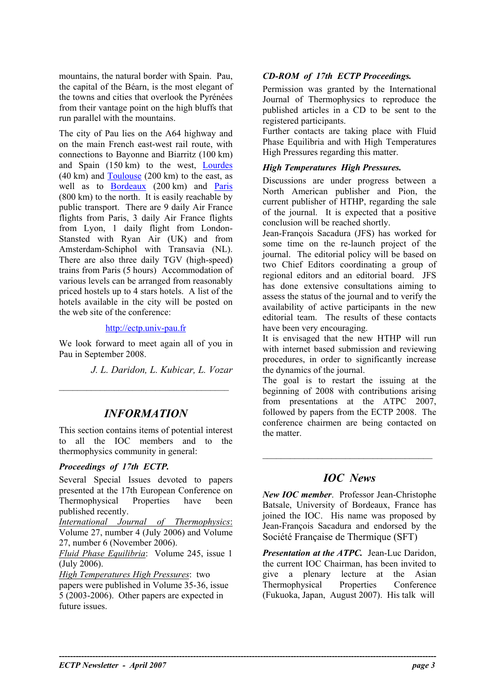mountains, the natural border with Spain. Pau, *CD-ROM of 17th ECTP Proceedings.*  the capital of the Béarn, is the most elegant of the towns and cities that overlook the Pyrénées from their vantage point on the high bluffs that run parallel with the mountains.

The city of Pau lies on the A64 highway and on the main French east-west rail route, with connections to Bayonne and Biarritz (100 km) and Spain (150 km) to the west, [Lourdes](http://www.hoteltravel.com/fr/france/lourdes/guides/tips.htm)  $(40 \text{ km})$  and  $Toulouse (200 \text{ km})$  $Toulouse (200 \text{ km})$  to the east, as well as to **Bordeaux** (200 km) and **[Paris](http://www.hoteltravel.com/fr/france/paris/guides/tips.htm)** (800 km) to the north. It is easily reachable by public transport. There are 9 daily Air France flights from Paris, 3 daily Air France flights from Lyon, 1 daily flight from London-Stansted with Ryan Air (UK) and from Amsterdam-Schiphol with Transavia (NL). There are also three daily TGV (high-speed) trains from Paris (5 hours) Accommodation of various levels can be arranged from reasonably priced hostels up to 4 stars hotels. A list of the hotels available in the city will be posted on the web site of the conference:

We look forward to meet again all of you in Pau in September 2008.

*J. L. Daridon, L. Kubicar, L. Vozar*

# *INFORMATION*

 $\mathcal{L}_\text{max}$ 

This section contains items of potential interest to all the IOC members and to the thermophysics community in general:

### *Proceedings of 17th ECTP.*

Several Special Issues devoted to papers *IOC News*  presented at the 17th European Conference on Thermophysical Properties have been published recently.

*International Journal of Thermophysics*: Volume 27, number 4 (July 2006) and Volume 27, number 6 (November 2006).

*Fluid Phase Equilibria*: Volume 245, issue 1 (July 2006).

*High Temperatures High Pressures*: two papers were published in Volume 35-36, issue 5 (2003-2006). Other papers are expected in future issues.

**----------------------------------------------------------------------------------------------------------------------------------------** 

Permission was granted by the International Journal of Thermophysics to reproduce the published articles in a CD to be sent to the registered participants.

Further contacts are taking place with Fluid Phase Equilibria and with High Temperatures High Pressures regarding this matter.

### *High Temperatures High Pressures.*

Discussions are under progress between a North American publisher and Pion, the current publisher of HTHP, regarding the sale of the journal. It is expected that a positive conclusion will be reached shortly.

Jean-François Sacadura (JFS) has worked for some time on the re-launch project of the journal. The editorial policy will be based on two Chief Editors coordinating a group of regional editors and an editorial board. JFS has done extensive consultations aiming to assess the status of the journal and to verify the availability of active participants in the new editorial team. The results of these contacts [http://ectp.univ-pau.fr](http://ectp.univ-pau.fr/) have been very encouraging.

> It is envisaged that the new HTHP will run with internet based submission and reviewing procedures, in order to significantly increase the dynamics of the journal.

> The goal is to restart the issuing at the beginning of 2008 with contributions arising from presentations at the ATPC 2007, followed by papers from the ECTP 2008. The conference chairmen are being contacted on the matter.

*New IOC member*. Professor Jean-Christophe Batsale, University of Bordeaux, France has joined the IOC. His name was proposed by Jean-François Sacadura and endorsed by the Société Française de Thermique (SFT)

*Presentation at the ATPC.* Jean-Luc Daridon, the current IOC Chairman, has been invited to give a plenary lecture at the Asian Thermophysical Properties Conference (Fukuoka, Japan, August 2007). His talk will